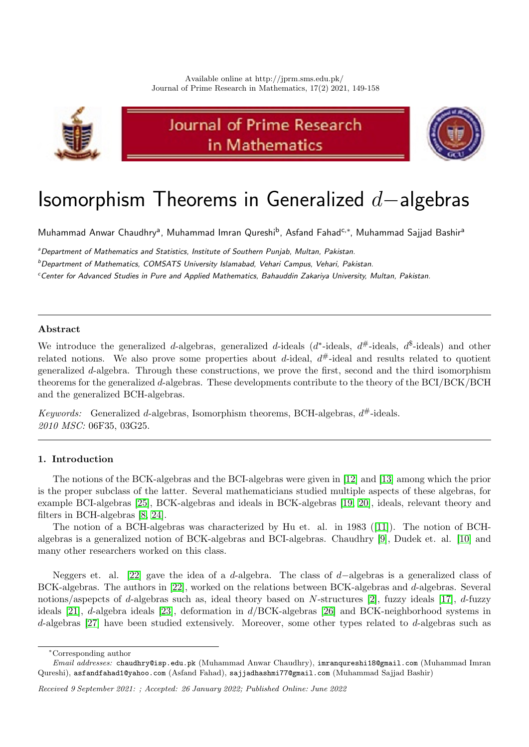

Journal of Prime Research in Mathematics



# Isomorphism Theorems in Generalized  $d-$ algebras

Muhammad Anwar Chaudhry<sup>a</sup>, Muhammad Imran Qureshi<sup>b</sup>, Asfand Fahad<sup>c,∗</sup>, Muhammad Sajjad Bashir<sup>a</sup>

<sup>a</sup> Department of Mathematics and Statistics, Institute of Southern Punjab, Multan, Pakistan.

b Department of Mathematics, COMSATS University Islamabad, Vehari Campus, Vehari, Pakistan.

<sup>c</sup>Center for Advanced Studies in Pure and Applied Mathematics, Bahauddin Zakariya University, Multan, Pakistan.

## Abstract

We introduce the generalized d-algebras, generalized d-ideals (d<sup>\*</sup>-ideals,  $d^*$ -ideals,  $d^*$ -ideals) and other related notions. We also prove some properties about d-ideal,  $d^{\#}$ -ideal and results related to quotient generalized d-algebra. Through these constructions, we prove the first, second and the third isomorphism theorems for the generalized d-algebras. These developments contribute to the theory of the BCI/BCK/BCH and the generalized BCH-algebras.

Keywords: Generalized d-algebras, Isomorphism theorems, BCH-algebras,  $d^{\#}$ -ideals. 2010 MSC: 06F35, 03G25.

## 1. Introduction

The notions of the BCK-algebras and the BCI-algebras were given in [\[12\]](#page-8-0) and [\[13\]](#page-8-1) among which the prior is the proper subclass of the latter. Several mathematicians studied multiple aspects of these algebras, for example BCI-algebras [\[25\]](#page-9-0), BCK-algebras and ideals in BCK-algebras [\[19,](#page-8-2) [20\]](#page-9-1), ideals, relevant theory and filters in BCH-algebras [\[8,](#page-8-3) [24\]](#page-9-2).

The notion of a BCH-algebras was characterized by Hu et. al. in 1983 ([\[11\]](#page-8-4)). The notion of BCHalgebras is a generalized notion of BCK-algebras and BCI-algebras. Chaudhry [\[9\]](#page-8-5), Dudek et. al. [\[10\]](#page-8-6) and many other researchers worked on this class.

Neggers et. al. [\[22\]](#page-9-3) gave the idea of a d-algebra. The class of d−algebras is a generalized class of BCK-algebras. The authors in [\[22\]](#page-9-3), worked on the relations between BCK-algebras and d-algebras. Several notions/aspepcts of d-algebras such as, ideal theory based on N-structures [\[2\]](#page-8-7), fuzzy ideals [\[17\]](#page-8-8), d-fuzzy ideals [\[21\]](#page-9-4), d-algebra ideals [\[23\]](#page-9-5), deformation in d/BCK-algebras [\[26\]](#page-9-6) and BCK-neighborhood systems in d-algebras [\[27\]](#page-9-7) have been studied extensively. Moreover, some other types related to d-algebras such as

<sup>∗</sup>Corresponding author

Email addresses: chaudhry@isp.edu.pk (Muhammad Anwar Chaudhry), imranqureshi18@gmail.com (Muhammad Imran Qureshi), asfandfahad1@yahoo.com (Asfand Fahad), sajjadhashmi77@gmail.com (Muhammad Sajjad Bashir)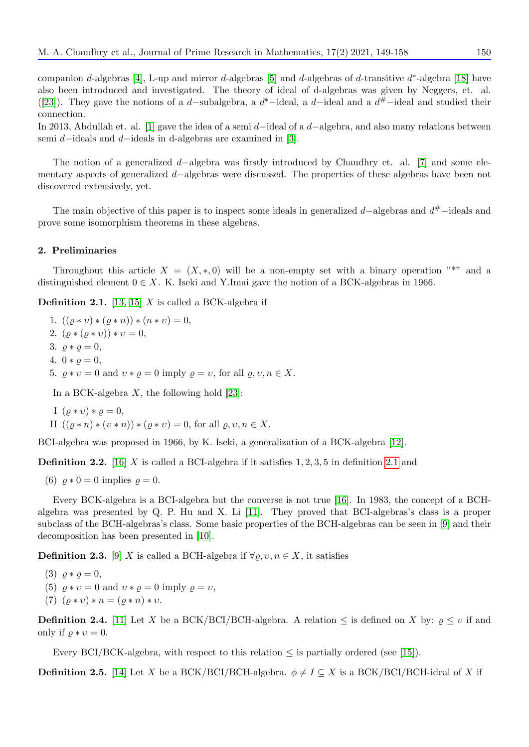companion d-algebras [\[4\]](#page-8-9), L-up and mirror d-algebras [\[5\]](#page-8-10) and d-algebras of d-transitive  $d^*$ -algebra [\[18\]](#page-8-11) have also been introduced and investigated. The theory of ideal of d-algebras was given by Neggers, et. al. ([\[23\]](#page-9-5)). They gave the notions of a d-subalgebra, a d<sup>\*</sup>-ideal, a d-ideal and a d<sup>#</sup>-ideal and studied their connection.

In 2013, Abdullah et. al. [\[1\]](#page-8-12) gave the idea of a semi d−ideal of a d−algebra, and also many relations between semi d–ideals and d–ideals in d-algebras are examined in [\[3\]](#page-8-13).

The notion of a generalized d–algebra was firstly introduced by Chaudhry et. al. [\[7\]](#page-8-14) and some elementary aspects of generalized d−algebras were discussed. The properties of these algebras have been not discovered extensively, yet.

The main objective of this paper is to inspect some ideals in generalized d–algebras and  $d^{\#}$ –ideals and prove some isomorphism theorems in these algebras.

## 2. Preliminaries

Throughout this article  $X = (X, *, 0)$  will be a non-empty set with a binary operation "\*" and a distinguished element  $0 \in X$ . K. Iseki and Y.Imai gave the notion of a BCK-algebras in 1966.

<span id="page-1-0"></span>**Definition 2.1.** [\[13,](#page-8-1) [15\]](#page-8-15)  $X$  is called a BCK-algebra if

1.  $((\rho * v) * (\rho * n)) * (n * v) = 0,$ 2.  $(\varrho * (\varrho * v)) * v = 0,$ 3.  $\rho * \rho = 0$ , 4.  $0 * \rho = 0$ , 5.  $\rho * v = 0$  and  $v * \rho = 0$  imply  $\rho = v$ , for all  $\rho, v, n \in X$ .

In a BCK-algebra  $X$ , the following hold [\[23\]](#page-9-5):

I 
$$
(\rho * v) * \rho = 0
$$
,  
II  $((\rho * n) * (v * n)) * (\rho * v) = 0$ , for all  $\rho, v, n \in X$ 

BCI-algebra was proposed in 1966, by K. Iseki, a generalization of a BCK-algebra [\[12\]](#page-8-0).

**Definition 2.2.** [\[16\]](#page-8-16) X is called a BCI-algebra if it satisfies  $1, 2, 3, 5$  in definition [2.1](#page-1-0) and

(6)  $\rho * 0 = 0$  implies  $\rho = 0$ .

Every BCK-algebra is a BCI-algebra but the converse is not true [\[16\]](#page-8-16). In 1983, the concept of a BCHalgebra was presented by Q. P. Hu and X. Li [\[11\]](#page-8-4). They proved that BCI-algebras's class is a proper subclass of the BCH-algebras's class. Some basic properties of the BCH-algebras can be seen in [\[9\]](#page-8-5) and their decomposition has been presented in [\[10\]](#page-8-6).

**Definition 2.3.** [\[9\]](#page-8-5) X is called a BCH-algebra if  $\forall \varrho, v, n \in X$ , it satisfies

- (3)  $\rho * \rho = 0$ ,
- (5)  $\rho * v = 0$  and  $v * \rho = 0$  imply  $\rho = v$ ,
- (7)  $(\rho * v) * n = (\rho * n) * v$ .

**Definition 2.4.** [\[11\]](#page-8-4) Let X be a BCK/BCI/BCH-algebra. A relation  $\leq$  is defined on X by:  $\rho \leq v$  if and only if  $\rho * v = 0$ .

Every BCI/BCK-algebra, with respect to this relation  $\leq$  is partially ordered (see [\[15\]](#page-8-15)).

**Definition 2.5.** [\[14\]](#page-8-17) Let X be a BCK/BCI/BCH-algebra.  $\phi \neq I \subseteq X$  is a BCK/BCI/BCH-ideal of X if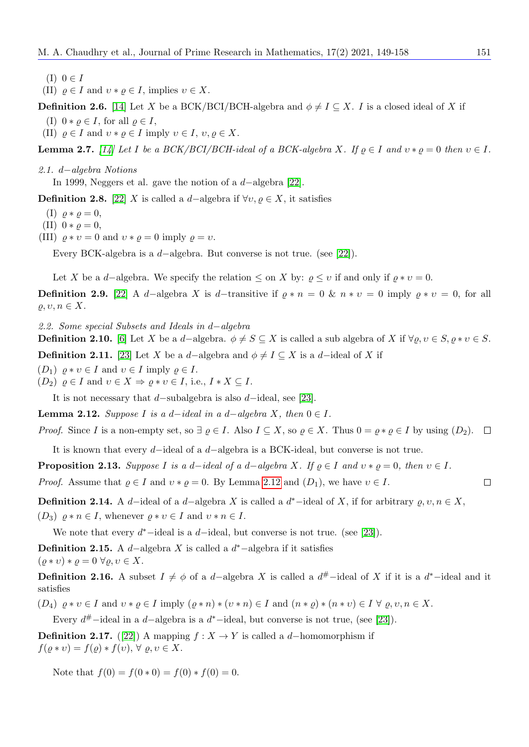$\Box$ 

 $(I)$   $0 \in I$ 

(II)  $\varrho \in I$  and  $v * \varrho \in I$ , implies  $v \in X$ .

**Definition 2.6.** [\[14\]](#page-8-17) Let X be a BCK/BCI/BCH-algebra and  $\phi \neq I \subseteq X$ . I is a closed ideal of X if

- (I)  $0 * \rho \in I$ , for all  $\rho \in I$ ,
- (II)  $\rho \in I$  and  $v * \rho \in I$  imply  $v \in I$ ,  $v, \rho \in X$ .

**Lemma 2.7.** [\[14\]](#page-8-17) Let I be a BCK/BCI/BCH-ideal of a BCK-algebra X. If  $\rho \in I$  and  $v * \rho = 0$  then  $v \in I$ .

2.1. d−algebra Notions

In 1999, Neggers et al. gave the notion of a d−algebra [\[22\]](#page-9-3).

**Definition 2.8.** [\[22\]](#page-9-3) X is called a d–algebra if  $\forall v, \rho \in X$ , it satisfies

(I)  $\rho * \rho = 0$ ,

(II)  $0 * \rho = 0$ ,

(III)  $\rho * v = 0$  and  $v * \rho = 0$  imply  $\rho = v$ .

Every BCK-algebra is a d−algebra. But converse is not true. (see [\[22\]](#page-9-3)).

Let X be a d–algebra. We specify the relation  $\leq$  on X by:  $\rho \leq v$  if and only if  $\rho * v = 0$ .

**Definition 2.9.** [\[22\]](#page-9-3) A d-algebra X is d-transitive if  $\rho * n = 0$  &  $n * v = 0$  imply  $\rho * v = 0$ , for all  $\rho, v, n \in X$ .

2.2. Some special Subsets and Ideals in d−algebra

**Definition 2.10.** [\[6\]](#page-8-18) Let X be a d-algebra.  $\phi \neq S \subseteq X$  is called a sub algebra of X if  $\forall \varrho, \upsilon \in S$ ,  $\varrho * \upsilon \in S$ . **Definition 2.11.** [\[23\]](#page-9-5) Let X be a d-algebra and  $\phi \neq I \subseteq X$  is a d-ideal of X if

 $(D_1)$   $\rho * v \in I$  and  $v \in I$  imply  $\rho \in I$ .

 $(D_2) \varrho \in I$  and  $v \in X \Rightarrow \varrho * v \in I$ , i.e.,  $I * X \subseteq I$ .

It is not necessary that d–subalgebra is also d–ideal, see [\[23\]](#page-9-5).

<span id="page-2-0"></span>**Lemma 2.12.** Suppose I is a d–ideal in a d–algebra X, then  $0 \in I$ .

*Proof.* Since I is a non-empty set, so  $\exists \varrho \in I$ . Also  $I \subseteq X$ , so  $\varrho \in X$ . Thus  $0 = \varrho * \varrho \in I$  by using  $(D_2)$ .  $\square$ 

It is known that every d−ideal of a d−algebra is a BCK-ideal, but converse is not true.

**Proposition 2.13.** Suppose I is a d-ideal of a d-algebra X. If  $\rho \in I$  and  $v * \rho = 0$ , then  $v \in I$ .

*Proof.* Assume that  $\varrho \in I$  and  $v * \varrho = 0$ . By Lemma [2.12](#page-2-0) and  $(D_1)$ , we have  $v \in I$ .

**Definition 2.14.** A d–ideal of a d–algebra X is called a  $d^*$ –ideal of X, if for arbitrary  $\varrho, v, n \in X$ ,  $(D_3)$   $\rho * n \in I$ , whenever  $\rho * v \in I$  and  $v * n \in I$ .

We note that every  $d^*$ −ideal is a  $d$ −ideal, but converse is not true. (see [\[23\]](#page-9-5)).

Definition 2.15. A d−algebra X is called a  $d^*$ −algebra if it satisfies  $(\rho * v) * \rho = 0 \; \forall \rho, v \in X.$ 

**Definition 2.16.** A subset  $I \neq \phi$  of a d-algebra X is called a  $d^{\#}$ -ideal of X if it is a  $d^*$ -ideal and it satisfies

 $(D_4)$   $\rho * v \in I$  and  $v * \rho \in I$  imply  $(\rho * n) * (v * n) \in I$  and  $(n * \rho) * (n * v) \in I \ \forall \rho, v, n \in X$ .

Every  $d^{\#}-$ ideal in a d−algebra is a  $d^*$ −ideal, but converse is not true, (see [\[23\]](#page-9-5)).

**Definition 2.17.** ([\[22\]](#page-9-3)) A mapping  $f : X \to Y$  is called a d–homomorphism if  $f(\varrho * \upsilon) = f(\varrho) * f(\upsilon), \forall \varrho, \upsilon \in X.$ 

Note that  $f(0) = f(0*0) = f(0)*f(0) = 0.$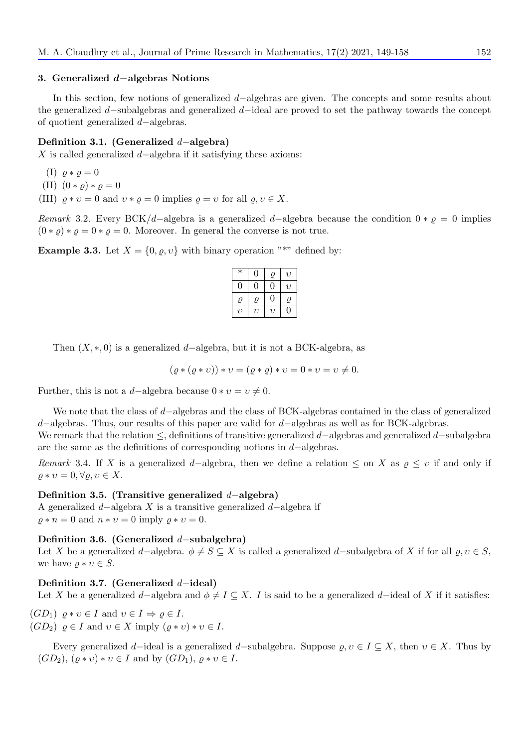#### 3. Generalized d−algebras Notions

In this section, few notions of generalized d−algebras are given. The concepts and some results about the generalized d−subalgebras and generalized d−ideal are proved to set the pathway towards the concept of quotient generalized d−algebras.

## Definition 3.1. (Generalized d−algebra)

X is called generalized  $d$ -algebra if it satisfying these axioms:

- (I)  $\rho * \rho = 0$
- (II)  $(0 * \rho) * \rho = 0$

(III)  $\rho * v = 0$  and  $v * \rho = 0$  implies  $\rho = v$  for all  $\rho, v \in X$ .

Remark 3.2. Every BCK/d–algebra is a generalized d–algebra because the condition  $0 * \varrho = 0$  implies  $(0 * \rho) * \rho = 0 * \rho = 0$ . Moreover. In general the converse is not true.

**Example 3.3.** Let  $X = \{0, \varrho, v\}$  with binary operation "\*" defined by:

| $\ast$               | 1         | $\varrho$ | $\upsilon$ |
|----------------------|-----------|-----------|------------|
| П                    | O)        |           | $\upsilon$ |
| $\overline{\varrho}$ | $\varrho$ |           | $\varrho$  |
| $\eta$               | $\eta$    | $\eta$    |            |

Then  $(X, *, 0)$  is a generalized d–algebra, but it is not a BCK-algebra, as

$$
(\varrho * (\varrho * v)) * v = (\varrho * \varrho) * v = 0 * v = v \neq 0.
$$

Further, this is not a d–algebra because  $0 * v = v \neq 0$ .

We note that the class of d−algebras and the class of BCK-algebras contained in the class of generalized d−algebras. Thus, our results of this paper are valid for d−algebras as well as for BCK-algebras.

We remark that the relation  $\leq$ , definitions of transitive generalized d–algebras and generalized d–subalgebra are the same as the definitions of corresponding notions in d−algebras.

Remark 3.4. If X is a generalized d–algebra, then we define a relation  $\leq$  on X as  $\rho \leq v$  if and only if  $\rho * v = 0, \forall \rho, v \in X.$ 

#### Definition 3.5. (Transitive generalized d−algebra)

A generalized d−algebra X is a transitive generalized d−algebra if  $\rho * n = 0$  and  $n * v = 0$  imply  $\rho * v = 0$ .

### Definition 3.6. (Generalized d−subalgebra)

Let X be a generalized d–algebra.  $\phi \neq S \subseteq X$  is called a generalized d–subalgebra of X if for all  $\varrho, v \in S$ , we have  $\rho * v \in S$ .

## Definition 3.7. (Generalized d−ideal)

Let X be a generalized d–algebra and  $\phi \neq I \subseteq X$ . I is said to be a generalized d–ideal of X if it satisfies:

 $(GD_1)$   $\varrho * v \in I$  and  $v \in I \Rightarrow \varrho \in I$ .  $(GD_2)$   $\varrho \in I$  and  $v \in X$  imply  $(\varrho * v) * v \in I$ .

Every generalized d–ideal is a generalized d–subalgebra. Suppose  $\rho, \nu \in I \subseteq X$ , then  $\nu \in X$ . Thus by  $(GD_2), (\rho * v) * v \in I$  and by  $(GD_1), \rho * v \in I$ .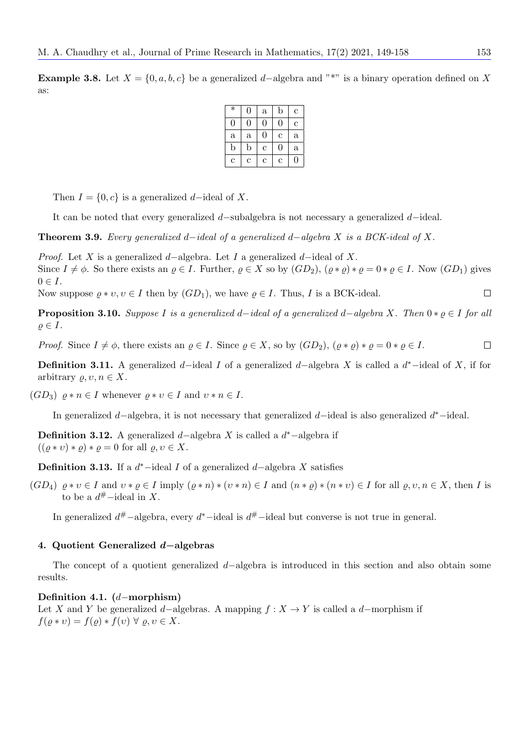**Example 3.8.** Let  $X = \{0, a, b, c\}$  be a generalized d–algebra and "\*" is a binary operation defined on X as:

| $\ast$             | 0              | a              | b              | C            |
|--------------------|----------------|----------------|----------------|--------------|
| $\overline{0}$     | $\overline{0}$ | $\overline{0}$ | $\overline{0}$ | C            |
| $\mathbf{a}$       | $\mathbf{a}$   | 0              | C              | $\mathbf{a}$ |
| $\mathbf b$        | b              | $\mathbf c$    | 0              | $\mathbf{a}$ |
| $\overline{\rm c}$ | $\mathbf c$    | $\overline{c}$ | $\overline{c}$ | 0            |

Then  $I = \{0, c\}$  is a generalized d–ideal of X.

It can be noted that every generalized d−subalgebra is not necessary a generalized d−ideal.

**Theorem 3.9.** Every generalized d–ideal of a generalized d–algebra X is a BCK-ideal of X.

*Proof.* Let X is a generalized d–algebra. Let I a generalized d–ideal of X. Since  $I \neq \phi$ . So there exists an  $\rho \in I$ . Further,  $\rho \in X$  so by  $(GD_2)$ ,  $(\rho * \rho) * \rho = 0 * \rho \in I$ . Now  $(GD_1)$  gives  $0 \in I$ .  $\Box$ 

Now suppose  $\varrho * v, v \in I$  then by  $(GD_1)$ , we have  $\varrho \in I$ . Thus, I is a BCK-ideal.

<span id="page-4-0"></span>**Proposition 3.10.** Suppose I is a generalized d–ideal of a generalized d–algebra X. Then  $0 * \rho \in I$  for all  $\rho \in I$ .

*Proof.* Since  $I \neq \phi$ , there exists an  $\varrho \in I$ . Since  $\varrho \in X$ , so by  $(GD_2)$ ,  $(\varrho * \varrho) * \varrho = 0 * \varrho \in I$ .  $\Box$ 

**Definition 3.11.** A generalized d–ideal I of a generalized d–algebra X is called a  $d^*$ –ideal of X, if for arbitrary  $\rho, v, n \in X$ .

 $(GD_3)$   $\rho * n \in I$  whenever  $\rho * v \in I$  and  $v * n \in I$ .

In generalized d−algebra, it is not necessary that generalized d−ideal is also generalized d∗−ideal.

Definition 3.12. A generalized d−algebra X is called a  $d^*$ -algebra if  $((\rho * v) * \rho) * \rho = 0$  for all  $\rho, v \in X$ .

**Definition 3.13.** If a  $d^*$ −ideal I of a generalized  $d$ −algebra X satisfies

 $(GD_4)$   $\rho * v \in I$  and  $v * \rho \in I$  imply  $(\rho * n) * (v * n) \in I$  and  $(n * \rho) * (n * v) \in I$  for all  $\rho, v, n \in X$ , then I is to be a  $d^{\#}-$ ideal in X.

In generalized  $d^{\#}-$ algebra, every  $d^*$ −ideal is  $d^{\#}-$ ideal but converse is not true in general.

#### 4. Quotient Generalized d−algebras

The concept of a quotient generalized d−algebra is introduced in this section and also obtain some results.

## Definition 4.1. (d−morphism)

Let X and Y be generalized d–algebras. A mapping  $f : X \to Y$  is called a d–morphism if  $f(\varrho * v) = f(\varrho) * f(v) \ \forall \varrho, v \in X.$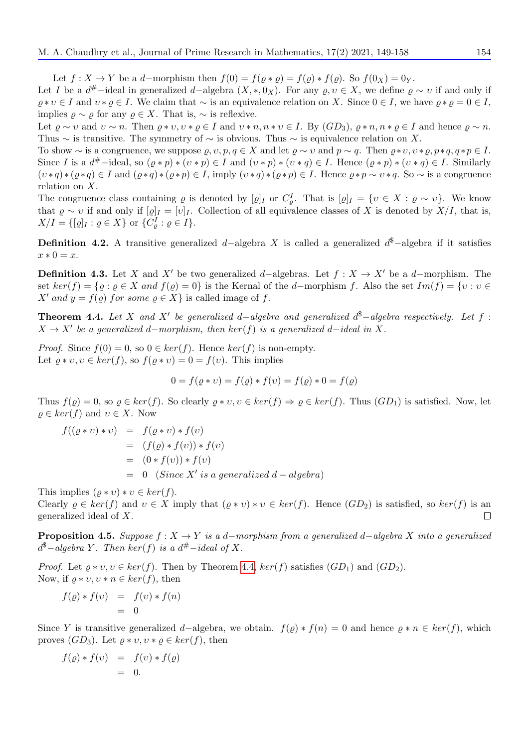Let  $f: X \to Y$  be a d–morphism then  $f(0) = f(\rho * \rho) = f(\rho) * f(\rho)$ . So  $f(0_X) = 0_Y$ . Let I be a  $d^{\#}$ -ideal in generalized  $d$ -algebra  $(X, *, 0_X)$ . For any  $\varrho, v \in X$ , we define  $\varrho \sim v$  if and only if  $\rho * v \in I$  and  $v * \rho \in I$ . We claim that  $\sim$  is an equivalence relation on X. Since  $0 \in I$ , we have  $\rho * \rho = 0 \in I$ , implies  $\rho \sim \rho$  for any  $\rho \in X$ . That is,  $\sim$  is reflexive.

Let  $\varrho \sim v$  and  $v \sim n$ . Then  $\varrho * v$ ,  $v * \varrho \in I$  and  $v * n$ ,  $n * v \in I$ . By  $(GD_3)$ ,  $\varrho * n$ ,  $n * \varrho \in I$  and hence  $\varrho \sim n$ . Thus  $\sim$  is transitive. The symmetry of  $\sim$  is obvious. Thus  $\sim$  is equivalence relation on X.

To show  $\sim$  is a congruence, we suppose  $\rho, v, p, q \in X$  and let  $\rho \sim v$  and  $p \sim q$ . Then  $\rho * v, v * \rho, p * q, q * p \in I$ . Since I is a  $d^{\#}-$ ideal, so  $(\rho * p) * (v * p) \in I$  and  $(v * p) * (v * q) \in I$ . Hence  $(\rho * p) * (v * q) \in I$ . Similarly  $(v * q) * (\varrho * q) \in I$  and  $(\varrho * q) * (\varrho * p) \in I$ , imply  $(v * q) * (\varrho * p) \in I$ . Hence  $\varrho * p \sim v * q$ . So  $\sim$  is a congruence relation on X.

The congruence class containing  $\varrho$  is denoted by  $[\varrho]_I$  or  $C^I_{\varrho}$ . That is  $[\varrho]_I = \{v \in X : \varrho \sim v\}$ . We know that  $\varrho \sim v$  if and only if  $[\varrho]_I = [v]_I$ . Collection of all equivalence classes of X is denoted by  $X/I$ , that is,  $X/I = \{ [\varrho]_I : \varrho \in X \}$  or  $\{ C_{\varrho}^I : \varrho \in I \}.$ 

**Definition 4.2.** A transitive generalized d–algebra X is called a generalized  $d^*$ –algebra if it satisfies  $x * 0 = x.$ 

**Definition 4.3.** Let X and X' be two generalized d–algebras. Let  $f : X \to X'$  be a d–morphism. The set  $ker(f) = \{ \varrho : \varrho \in X \text{ and } f(\varrho) = 0 \}$  is the Kernal of the d-morphism f. Also the set  $Im(f) = \{ v : v \in X \text{ and } f(\varrho) = 0 \}$ X' and  $y = f(\rho)$  for some  $\rho \in X$  is called image of f.

<span id="page-5-0"></span>**Theorem 4.4.** Let X and X' be generalized d–algebra and generalized  $d^*$ –algebra respectively. Let f :  $X \to X'$  be a generalized d–morphism, then ker(f) is a generalized d–ideal in X.

*Proof.* Since  $f(0) = 0$ , so  $0 \in ker(f)$ . Hence  $ker(f)$  is non-empty. Let  $\rho * v, v \in ker(f)$ , so  $f(\rho * v) = 0 = f(v)$ . This implies

$$
0 = f(\varrho * \upsilon) = f(\varrho) * f(\upsilon) = f(\varrho) * 0 = f(\varrho)
$$

Thus  $f(\rho) = 0$ , so  $\rho \in \ker(f)$ . So clearly  $\rho * v, v \in \ker(f) \Rightarrow \rho \in \ker(f)$ . Thus  $(GD_1)$  is satisfied. Now, let  $\rho \in \ker(f)$  and  $v \in X$ . Now

$$
f((\varrho * v) * v) = f(\varrho * v) * f(v)
$$
  
=  $(f(\varrho) * f(v)) * f(v)$   
=  $(0 * f(v)) * f(v)$   
=  $0$  (Since X' is a generalized d-algebra)

This implies  $(\rho * v) * v \in \text{ker}(f)$ .

Clearly  $\varrho \in \ker(f)$  and  $v \in X$  imply that  $(\varrho * v) * v \in \ker(f)$ . Hence  $(GD_2)$  is satisfied, so  $\ker(f)$  is an generalized ideal of X.  $\Box$ 

**Proposition 4.5.** Suppose  $f : X \to Y$  is a d–morphism from a generalized d–algebra X into a generalized  $d^{\$}-algebra Y$ . Then ker(f) is a  $d^{\#}-ideal$  of X.

*Proof.* Let  $\varrho * v, v \in \ker(f)$ . Then by Theorem [4.4,](#page-5-0)  $\ker(f)$  satisfies  $(GD_1)$  and  $(GD_2)$ . Now, if  $\rho * v, v * n \in ker(f)$ , then

$$
f(\varrho) * f(\upsilon) = f(\upsilon) * f(n)
$$
  
= 0

Since Y is transitive generalized d–algebra, we obtain.  $f(\rho) * f(n) = 0$  and hence  $\rho * n \in ker(f)$ , which proves  $(GD_3)$ . Let  $\rho * v, v * \rho \in ker(f)$ , then

$$
f(\varrho) * f(\upsilon) = f(\upsilon) * f(\varrho)
$$
  
= 0.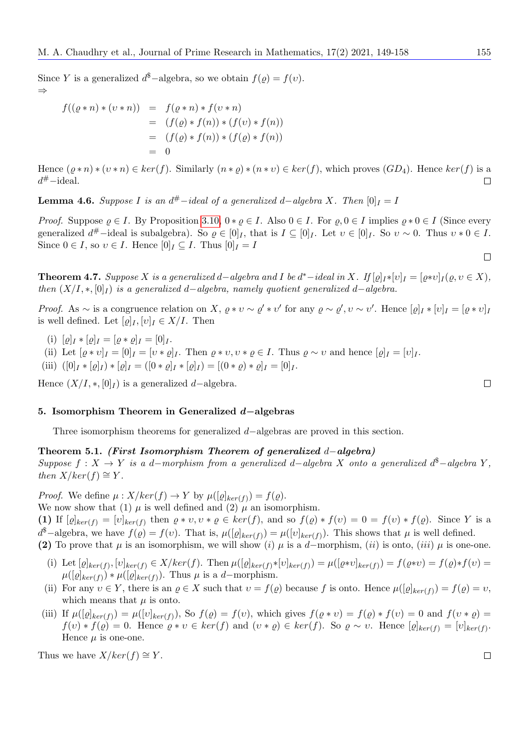Since Y is a generalized  $d^2$ –algebra, so we obtain  $f(\rho) = f(v)$ . ⇒

$$
f((\varrho * n) * (\upsilon * n)) = f(\varrho * n) * f(\upsilon * n)
$$
  
= 
$$
(f(\varrho) * f(n)) * (f(\upsilon) * f(n))
$$
  
= 
$$
(f(\varrho) * f(n)) * (f(\varrho) * f(n))
$$
  
= 0

Hence  $(\varrho * n) * (v * n) \in \ker(f)$ . Similarly  $(n * \varrho) * (n * v) \in \ker(f)$ , which proves  $(GD_4)$ . Hence  $\ker(f)$  is a  $d^{\#}-ideal.$  $\Box$ 

**Lemma 4.6.** Suppose I is an  $d^{\#}-ideal$  of a generalized d-algebra X. Then  $[0]_I = I$ 

Proof. Suppose  $\rho \in I$ . By Proposition [3.10,](#page-4-0)  $0 * \rho \in I$ . Also  $0 \in I$ . For  $\rho, 0 \in I$  implies  $\rho * 0 \in I$  (Since every generalized  $d^{\#}-$ ideal is subalgebra). So  $\rho \in [0]_I$ , that is  $I \subseteq [0]_I$ . Let  $v \in [0]_I$ . So  $v \sim 0$ . Thus  $v * 0 \in I$ . Since  $0 \in I$ , so  $v \in I$ . Hence  $[0]_I \subseteq I$ . Thus  $[0]_I = I$ 

**Theorem 4.7.** Suppose X is a generalized d–algebra and I be  $d^*$ –ideal in X. If  $[\rho]_I * [\nu]_I = [\rho * \nu]_I (\rho, \nu \in X)$ , then  $(X/I, *, [0]_I)$  is a generalized d–algebra, namely quotient generalized d–algebra.

*Proof.* As ~ is a congruence relation on X,  $\varrho * v \sim \varrho' * v'$  for any  $\varrho \sim \varrho', v \sim v'$ . Hence  $[\varrho]_I * [v]_I = [\varrho * v]_I$ is well defined. Let  $[\rho]_I, [\nu]_I \in X/I$ . Then

- (i)  $[\rho]_I * [\rho]_I = [\rho * \rho]_I = [0]_I$ .
- (ii) Let  $[\varrho * v]_I = [0]_I = [v * \varrho]_I$ . Then  $\varrho * v, v * \varrho \in I$ . Thus  $\varrho \sim v$  and hence  $[\varrho]_I = [v]_I$ .
- (iii)  $([0]_I * [\varrho]_I) * [\varrho]_I = ([0 * \varrho]_I * [\varrho]_I) = [(0 * \varrho) * \varrho]_I = [0]_I.$

Hence  $(X/I, *, [0]_I)$  is a generalized d–algebra.

## 5. Isomorphism Theorem in Generalized d−algebras

Three isomorphism theorems for generalized d−algebras are proved in this section.

## <span id="page-6-0"></span>Theorem 5.1. (First Isomorphism Theorem of generalized d−algebra)

Suppose  $f: X \to Y$  is a d−morphism from a generalized d−algebra X onto a generalized  $d^*$ –algebra Y, then  $X/ker(f) \cong Y$ .

*Proof.* We define  $\mu$  :  $X/ker(f) \to Y$  by  $\mu([\varrho]_{ker(f)}) = f(\varrho)$ .

We now show that (1)  $\mu$  is well defined and (2)  $\mu$  an isomorphism.

(1) If  $[\varrho]_{\ker(f)} = [v]_{\ker(f)}$  then  $\varrho * v, v * \varrho \in \ker(f)$ , and so  $f(\varrho) * f(v) = 0 = f(v) * f(\varrho)$ . Since Y is a  $d^3$ –algebra, we have  $f(\varrho) = f(\upsilon)$ . That is,  $\mu([\varrho]_{\ker(f)}) = \mu([\upsilon]_{\ker(f)})$ . This shows that  $\mu$  is well defined.

(2) To prove that  $\mu$  is an isomorphism, we will show (i)  $\mu$  is a d–morphism, (ii) is onto, (iii)  $\mu$  is one-one.

- (i) Let  $[\varrho]_{\ker(f)}, [\upsilon]_{\ker(f)} \in X/\ker(f)$ . Then  $\mu([\varrho]_{\ker(f)})[\psi]_{\ker(f)}) = \mu([\varrho * \upsilon]_{\ker(f)}) = f(\varrho * \upsilon) = f(\varrho) * f(\upsilon) = f(\upsilon)$  $\mu([\varrho]_{\ker(f)}) * \mu([\varrho]_{\ker(f)})$ . Thus  $\mu$  is a d-morphism.
- (ii) For any  $v \in Y$ , there is an  $\varrho \in X$  such that  $v = f(\varrho)$  because f is onto. Hence  $\mu([\varrho]_{\ker(f)}) = f(\varrho) = v$ , which means that  $\mu$  is onto.
- (iii) If  $\mu([\varrho]_{\ker(f)}) = \mu([\upsilon]_{\ker(f)})$ , So  $f(\varrho) = f(\upsilon)$ , which gives  $f(\varrho * \upsilon) = f(\varrho) * f(\upsilon) = 0$  and  $f(\upsilon * \varrho) = f(\upsilon)$  $f(v) * f(\rho) = 0$ . Hence  $\rho * v \in \ker(f)$  and  $(v * \rho) \in \ker(f)$ . So  $\rho \sim v$ . Hence  $[\rho]_{\ker(f)} = [v]_{\ker(f)}$ . Hence  $\mu$  is one-one.

Thus we have  $X/ker(f) \cong Y$ .

 $\Box$ 

 $\Box$ 

 $\Box$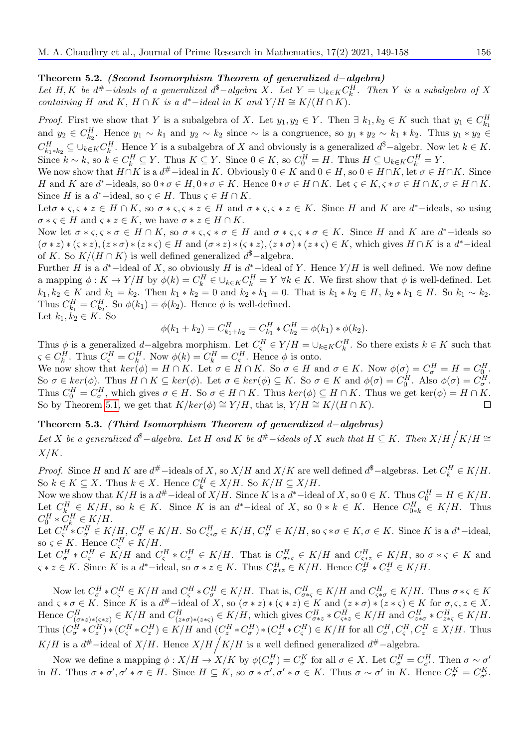# Theorem 5.2. (Second Isomorphism Theorem of generalized d−algebra)

Let H, K be  $d^{\#}-ideals$  of a generalized  $d^{\$}-algebra X$ . Let  $Y = \cup_{k \in K} C_k^H$ . Then Y is a subalgebra of X containing H and K,  $H \cap K$  is a d<sup>\*</sup>−ideal in K and  $Y/H \cong K/(H \cap K)$ .

*Proof.* First we show that Y is a subalgebra of X. Let  $y_1, y_2 \in Y$ . Then  $\exists k_1, k_2 \in K$  such that  $y_1 \in C_{k_1}^H$ and  $y_2 \in C_{k_2}^H$ . Hence  $y_1 \sim k_1$  and  $y_2 \sim k_2$  since  $\sim$  is a congruence, so  $y_1 * y_2 \sim k_1 * k_2$ . Thus  $y_1 * y_2 \in$  $C_{k_1*k_2}^H \subseteq \bigcup_{k \in K} C_k^H$ . Hence Y is a subalgebra of X and obviously is a generalized  $d^s$ -algebr. Now let  $k \in K$ . Since  $k \sim k$ , so  $k \in C_k^H \subseteq Y$ . Thus  $K \subseteq Y$ . Since  $0 \in K$ , so  $C_0^H = H$ . Thus  $H \subseteq \cup_{k \in K} C_k^H = Y$ .

We now show that  $H \cap K$  is a  $d^{\#}-$ ideal in K. Obviously  $0 \in K$  and  $0 \in H$ , so  $0 \in H \cap K$ , let  $\sigma \in H \cap K$ . Since H and K are  $d^*$ −ideals, so  $0 * \sigma \in H$ ,  $0 * \sigma \in K$ . Hence  $0 * \sigma \in H \cap K$ . Let  $\varsigma \in K$ ,  $\varsigma * \sigma \in H \cap K$ ,  $\sigma \in H \cap K$ . Since H is a d<sup>\*</sup>−ideal, so  $\varsigma \in H$ . Thus  $\varsigma \in H \cap K$ .

Let  $\sigma * \varsigma, \varsigma * z \in H \cap K$ , so  $\sigma * \varsigma, \varsigma * z \in H$  and  $\sigma * \varsigma, \varsigma * z \in K$ . Since H and K are  $d^*$ -ideals, so using  $\sigma * \varsigma \in H$  and  $\varsigma * z \in K$ , we have  $\sigma * z \in H \cap K$ .

Now let  $\sigma * \varsigma, \varsigma * \sigma \in H \cap K$ , so  $\sigma * \varsigma, \varsigma * \sigma \in H$  and  $\sigma * \varsigma, \varsigma * \sigma \in K$ . Since H and K are  $d^*$ -ideals so  $(\sigma * z) * (\varsigma * z), (z * \sigma) * (z * \varsigma) \in H$  and  $(\sigma * z) * (\varsigma * z), (z * \sigma) * (z * \varsigma) \in K$ , which gives  $H \cap K$  is a  $d^*$ -ideal of K. So  $K/(H \cap K)$  is well defined generalized  $d^2$ –algebra.

Further H is a  $d^*$ −ideal of X, so obviously H is  $d^*$ −ideal of Y. Hence Y/H is well defined. We now define a mapping  $\phi: K \to Y/H$  by  $\phi(k) = C_k^H \in \bigcup_{k \in K} C_k^H = Y \ \forall k \in K$ . We first show that  $\phi$  is well-defined. Let  $k_1, k_2 \in K$  and  $k_1 = k_2$ . Then  $k_1 * k_2 = 0$  and  $k_2 * k_1 = 0$ . That is  $k_1 * k_2 \in H$ ,  $k_2 * k_1 \in H$ . So  $k_1 \sim k_2$ . Thus  $C_{k_1}^H = C_{k_2}^H$ . So  $\phi(k_1) = \phi(k_2)$ . Hence  $\phi$  is well-defined. Let  $k_1, k_2 \in K$ . So

$$
\phi(k_1 + k_2) = C_{k_1 + k_2}^H = C_{k_1}^H * C_{k_2}^H = \phi(k_1) * \phi(k_2).
$$

Thus  $\phi$  is a generalized d–algebra morphism. Let  $C_{\varsigma}^{H} \in Y/H = \cup_{k \in K} C_{k}^{H}$ . So there exists  $k \in K$  such that  $\zeta \in C_k^H$ . Thus  $C_{\zeta}^H = C_k^H$ . Now  $\phi(k) = C_k^H = C_{\zeta}^H$ . Hence  $\phi$  is onto.

We now show that  $ker(\phi) = H \cap K$ . Let  $\sigma \in H \cap K$ . So  $\sigma \in H$  and  $\sigma \in K$ . Now  $\phi(\sigma) = C_{\sigma}^H = H = C_0^H$ . So  $\sigma \in \ker(\phi)$ . Thus  $H \cap K \subseteq \ker(\phi)$ . Let  $\sigma \in \ker(\phi) \subseteq K$ . So  $\sigma \in K$  and  $\phi(\sigma) = C_0^H$ . Also  $\phi(\sigma) = C_\sigma^H$ . Thus  $C_0^H = C_{\sigma}^H$ , which gives  $\sigma \in H$ . So  $\sigma \in H \cap K$ . Thus  $\ker(\phi) \subseteq H \cap K$ . Thus we get  $\ker(\phi) = H \cap K$ . So by Theorem [5.1,](#page-6-0) we get that  $K/ker(\phi) \cong Y/H$ , that is,  $Y/H \cong K/(H \cap K)$ .  $\Box$ 

## Theorem 5.3. (Third Isomorphism Theorem of generalized d−algebras)

Let X be a generalized  $d^{\$}-algebra$ . Let H and K be  $d^{\#}-ideals$  of X such that  $H\subseteq K$ . Then  $X/H\Big/K/H\cong$  $X/K$ .

*Proof.* Since H and K are  $d^{\#}-$ ideals of X, so  $X/H$  and  $X/K$  are well defined  $d^{\$}-$ algebras. Let  $C_k^H \in K/H$ . So  $k \in K \subseteq X$ . Thus  $k \in X$ . Hence  $C_k^H \in X/H$ . So  $K/H \subseteq X/H$ .

Now we show that  $K/H$  is a  $d^{\#}-$ ideal of  $X/H$ . Since K is a  $d^*$ -ideal of X, so  $0 \in K$ . Thus  $C_0^H = H \in K/H$ . Let  $C_{k}^{H} \in K/H$ , so  $k \in K$ . Since K is an  $d^*$ -ideal of X, so  $0 * k \in K$ . Hence  $C_{0*k}^{H} \in K/H$ . Thus  $C_0^H \ast C_k^H \in K/H.$ 

Let  $C_{\varsigma}^H \ast C_{\sigma}^H \in K/H$ ,  $C_{\sigma}^H \in K/H$ . So  $C_{\varsigma \ast \sigma}^H \in K/H$ ,  $C_{\sigma}^H \in K/H$ , so  $\varsigma \ast \sigma \in K$ ,  $\sigma \in K$ . Since K is a  $d^*$ -ideal, so  $\varsigma \in K$ . Hence  $C_{\varsigma}^H \in K/H$ .

Let  $C^H_{\sigma} * C^H_{\varsigma} \in K/H$  and  $C^H_{\varsigma} * C^H_{\varsigma} \in K/H$ . That is  $C^H_{\sigma * \varsigma} \in K/H$  and  $C^H_{\varsigma * \varsigma} \in K/H$ , so  $\sigma * \varsigma \in K$  and  $\varsigma \ast z \in K$ . Since K is a d<sup>\*</sup>-ideal, so  $\sigma \ast z \in K$ . Thus  $C_{\sigma \ast z}^H \in K/H$ . Hence  $C_{\sigma}^H \ast C_z^H \in K/H$ .

Now let  $C^H_{\sigma} * C^H_{\varsigma} \in K/H$  and  $C^H_{\varsigma} * C^H_{\sigma} \in K/H$ . That is,  $C^H_{\sigma * \varsigma} \in K/H$  and  $C^H_{\varsigma * \sigma} \in K/H$ . Thus  $\sigma * \varsigma \in K$ and  $\varsigma * \sigma \in K$ . Since K is a  $d^{\#}-$ ideal of X, so  $(\sigma * z) * (\varsigma * z) \in K$  and  $(z * \sigma) * (z * \varsigma) \in K$  for  $\sigma, \varsigma, z \in X$ . Hence  $C^H_{(\sigma \ast z) \ast (\varsigma \ast z)} \in K/H$  and  $C^H_{(z \ast \sigma) \ast (z \ast \varsigma)} \in K/H$ , which gives  $C^H_{\sigma \ast z} \ast C^H_{\varsigma \ast z} \in K/H$  and  $C^H_{z \ast \sigma} \ast C^H_{z \ast \varsigma} \in K/H$ . Thus  $(C^H_\sigma * C^H_z) * (C^H_\varsigma * C^H_z) \in K/H$  and  $(C^H_z * C^H_\sigma) * (C^H_z * C^H_\varsigma) \in K/H$  for all  $C^H_\sigma, C^H_\varsigma, C^H_z \in X/H$ . Thus  $K/H$  is a  $d^{\#}-$ ideal of  $X/H$ . Hence  $X/H \big/ K/H$  is a well defined generalized  $d^{\#}-$ algebra.

Now we define a mapping  $\phi: X/H \to X/K$  by  $\phi(C_{\sigma}^H) = C_{\sigma}^K$  for all  $\sigma \in X$ . Let  $C_{\sigma}^H = C_{\sigma'}^H$ . Then  $\sigma \sim \sigma'$ in H. Thus  $\sigma * \sigma', \sigma' * \sigma \in H$ . Since  $H \subseteq K$ , so  $\sigma * \sigma', \sigma' * \sigma \in K$ . Thus  $\sigma \sim \sigma'$  in K. Hence  $C_{\sigma}^{K} = C_{\sigma'}^{K}$ .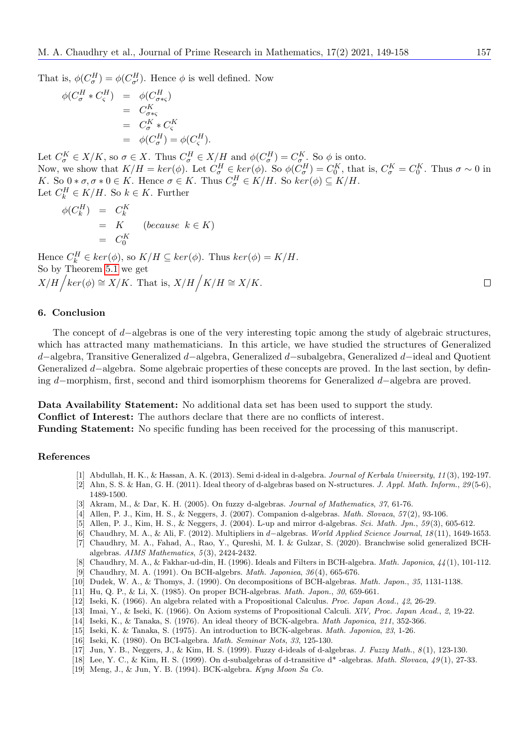That is,  $\phi(C^H_{\sigma}) = \phi(C^H_{\sigma'})$ . Hence  $\phi$  is well defined. Now

$$
\phi(C_{\sigma}^{H} * C_{\varsigma}^{H}) = \phi(C_{\sigma*\varsigma}^{H})
$$
  
\n
$$
= C_{\sigma*\varsigma}^{K}
$$
  
\n
$$
= C_{\sigma}^{K} * C_{\varsigma}^{K}
$$
  
\n
$$
= \phi(C_{\sigma}^{H}) = \phi(C_{\varsigma}^{H}).
$$

Let  $C_{\sigma}^{K} \in X/K$ , so  $\sigma \in X$ . Thus  $C_{\sigma}^{H} \in X/H$  and  $\phi(C_{\sigma}^{H}) = C_{\sigma}^{K}$ . So  $\phi$  is onto. Now, we show that  $K/H = \text{ker}(\phi)$ . Let  $C^H_\sigma \in \text{ker}(\phi)$ . So  $\phi(C^H_\sigma) = C^K_0$ , that is,  $C^K_\sigma = C^K_0$ . Thus  $\sigma \sim 0$  in K. So  $0 * \sigma, \sigma * 0 \in K$ . Hence  $\sigma \in K$ . Thus  $C^H_{\sigma} \in K/H$ . So  $\ker(\phi) \subseteq K/H$ . Let  $C_k^H \in K/H$ . So  $k \in K$ . Further

$$
\begin{array}{rcl}\n\phi(C_k^H) & = & C_k^K \\
& = & K \\
& = & C_0^K\n\end{array}\n\quad\n\begin{array}{rcl}\n\text{(because } k \in K)\n\end{array}
$$

Hence  $C_k^H \in \text{ker}(\phi)$ , so  $K/H \subseteq \text{ker}(\phi)$ . Thus  $\text{ker}(\phi) = K/H$ . So by Theorem [5.1](#page-6-0) we get  $X/H\nvert ker(\phi) \cong X/K$ . That is,  $X/H\nvert K/H \cong X/K$ .

# 6. Conclusion

The concept of d−algebras is one of the very interesting topic among the study of algebraic structures, which has attracted many mathematicians. In this article, we have studied the structures of Generalized d−algebra, Transitive Generalized d−algebra, Generalized d−subalgebra, Generalized d−ideal and Quotient Generalized d–algebra. Some algebraic properties of these concepts are proved. In the last section, by defining d−morphism, first, second and third isomorphism theorems for Generalized d−algebra are proved.

Data Availability Statement: No additional data set has been used to support the study.

Conflict of Interest: The authors declare that there are no conflicts of interest.

Funding Statement: No specific funding has been received for the processing of this manuscript.

#### References

- <span id="page-8-12"></span>[1] Abdullah, H. K., & Hassan, A. K. (2013). Semi d-ideal in d-algebra. Journal of Kerbala University, 11 (3), 192-197.
- <span id="page-8-7"></span>[2] Ahn, S. S. & Han, G. H. (2011). Ideal theory of d-algebras based on N-structures. J. Appl. Math. Inform., 29 (5-6), 1489-1500.
- <span id="page-8-13"></span>[3] Akram, M., & Dar, K. H. (2005). On fuzzy d-algebras. Journal of Mathematics, 37, 61-76.
- <span id="page-8-9"></span>[4] Allen, P. J., Kim, H. S., & Neggers, J. (2007). Companion d-algebras. *Math. Slovaca*, 57(2), 93-106.
- <span id="page-8-10"></span>[5] Allen, P. J., Kim, H. S., & Neggers, J. (2004). L-up and mirror d-algebras. Sci. Math. Jpn., 59(3), 605-612.
- <span id="page-8-18"></span>[6] Chaudhry, M. A., & Ali, F. (2012). Multipliers in d−algebras. World Applied Science Journal, 18 (11), 1649-1653.
- <span id="page-8-14"></span>[7] Chaudhry, M. A., Fahad, A., Rao, Y., Qureshi, M. I. & Gulzar, S. (2020). Branchwise solid generalized BCHalgebras.  $AIMS$  Mathematics,  $5(3)$ , 2424-2432.
- <span id="page-8-3"></span>[8] Chaudhry, M. A., & Fakhar-ud-din, H. (1996). Ideals and Filters in BCH-algebra. Math. Japonica, 44 (1), 101-112.
- <span id="page-8-5"></span>[9] Chaudhry, M. A. (1991). On BCH-algebrs. *Math. Japoniea*, 36(4), 665-676.
- <span id="page-8-6"></span>[10] Dudek, W. A., & Thomys, J. (1990). On decompositions of BCH-algebras. Math. Japon., 35, 1131-1138.
- <span id="page-8-4"></span>[11] Hu, Q. P., & Li, X. (1985). On proper BCH-algebras. Math. Japon., 30, 659-661.
- <span id="page-8-0"></span>[12] Iseki, K. (1966). An algebra related with a Propositional Calculus. Proc. Japan Acad., 42, 26-29.
- <span id="page-8-1"></span>[13] Imai, Y., & Iseki, K. (1966). On Axiom systems of Propositional Calculi. XlV, Proc. Japan Acad., 2, 19-22.
- <span id="page-8-17"></span>[14] Iseki, K., & Tanaka, S. (1976). An ideal theory of BCK-algebra. Math Japonica, 211, 352-366.
- <span id="page-8-15"></span>[15] Iseki, K. & Tanaka, S. (1975). An introduction to BCK-algebras. Math. Japonica, 23, 1-26.
- <span id="page-8-16"></span>[16] Iseki, K. (1980). On BCI-algebra. Math. Seminar Nots, 33, 125-130.
- <span id="page-8-8"></span>[17] Jun, Y. B., Neggers, J., & Kim, H. S. (1999). Fuzzy d-ideals of d-algebras. J. Fuzzy Math., 8 (1), 123-130.
- <span id="page-8-11"></span>[18] Lee, Y. C., & Kim, H. S. (1999). On d-subalgebras of d-transitive d<sup>\*</sup>-algebras. Math. Slovaca, 49(1), 27-33.
- <span id="page-8-2"></span>[19] Meng, J., & Jun, Y. B. (1994). BCK-algebra. Kyng Moon Sa Co.

 $\Box$